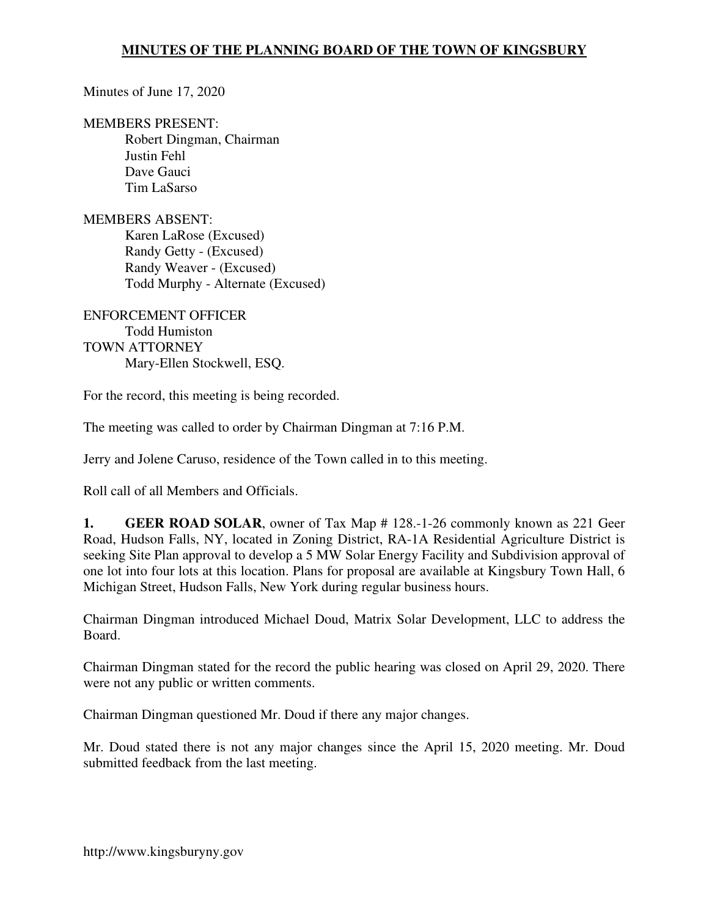Minutes of June 17, 2020

MEMBERS PRESENT:

Robert Dingman, Chairman Justin Fehl Dave Gauci Tim LaSarso

MEMBERS ABSENT: Karen LaRose (Excused) Randy Getty - (Excused) Randy Weaver - (Excused) Todd Murphy - Alternate (Excused)

ENFORCEMENT OFFICER Todd Humiston TOWN ATTORNEY Mary-Ellen Stockwell, ESQ.

For the record, this meeting is being recorded.

The meeting was called to order by Chairman Dingman at 7:16 P.M.

Jerry and Jolene Caruso, residence of the Town called in to this meeting.

Roll call of all Members and Officials.

**1. GEER ROAD SOLAR**, owner of Tax Map # 128.-1-26 commonly known as 221 Geer Road, Hudson Falls, NY, located in Zoning District, RA-1A Residential Agriculture District is seeking Site Plan approval to develop a 5 MW Solar Energy Facility and Subdivision approval of one lot into four lots at this location. Plans for proposal are available at Kingsbury Town Hall, 6 Michigan Street, Hudson Falls, New York during regular business hours.

Chairman Dingman introduced Michael Doud, Matrix Solar Development, LLC to address the Board.

Chairman Dingman stated for the record the public hearing was closed on April 29, 2020. There were not any public or written comments.

Chairman Dingman questioned Mr. Doud if there any major changes.

Mr. Doud stated there is not any major changes since the April 15, 2020 meeting. Mr. Doud submitted feedback from the last meeting.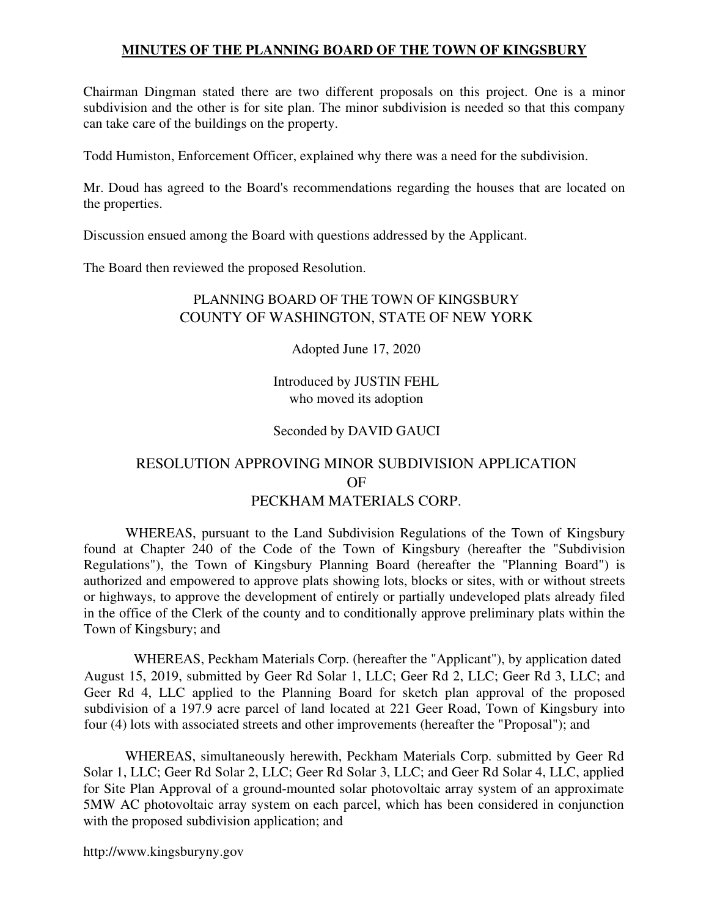Chairman Dingman stated there are two different proposals on this project. One is a minor subdivision and the other is for site plan. The minor subdivision is needed so that this company can take care of the buildings on the property.

Todd Humiston, Enforcement Officer, explained why there was a need for the subdivision.

Mr. Doud has agreed to the Board's recommendations regarding the houses that are located on the properties.

Discussion ensued among the Board with questions addressed by the Applicant.

The Board then reviewed the proposed Resolution.

# PLANNING BOARD OF THE TOWN OF KINGSBURY COUNTY OF WASHINGTON, STATE OF NEW YORK

Adopted June 17, 2020

Introduced by JUSTIN FEHL who moved its adoption

## Seconded by DAVID GAUCI

# RESOLUTION APPROVING MINOR SUBDIVISION APPLICATION OF PECKHAM MATERIALS CORP.

WHEREAS, pursuant to the Land Subdivision Regulations of the Town of Kingsbury found at Chapter 240 of the Code of the Town of Kingsbury (hereafter the "Subdivision Regulations"), the Town of Kingsbury Planning Board (hereafter the "Planning Board") is authorized and empowered to approve plats showing lots, blocks or sites, with or without streets or highways, to approve the development of entirely or partially undeveloped plats already filed in the office of the Clerk of the county and to conditionally approve preliminary plats within the Town of Kingsbury; and

WHEREAS, Peckham Materials Corp. (hereafter the "Applicant"), by application dated August 15, 2019, submitted by Geer Rd Solar 1, LLC; Geer Rd 2, LLC; Geer Rd 3, LLC; and Geer Rd 4, LLC applied to the Planning Board for sketch plan approval of the proposed subdivision of a 197.9 acre parcel of land located at 221 Geer Road, Town of Kingsbury into four (4) lots with associated streets and other improvements (hereafter the "Proposal"); and

WHEREAS, simultaneously herewith, Peckham Materials Corp. submitted by Geer Rd Solar 1, LLC; Geer Rd Solar 2, LLC; Geer Rd Solar 3, LLC; and Geer Rd Solar 4, LLC, applied for Site Plan Approval of a ground-mounted solar photovoltaic array system of an approximate 5MW AC photovoltaic array system on each parcel, which has been considered in conjunction with the proposed subdivision application; and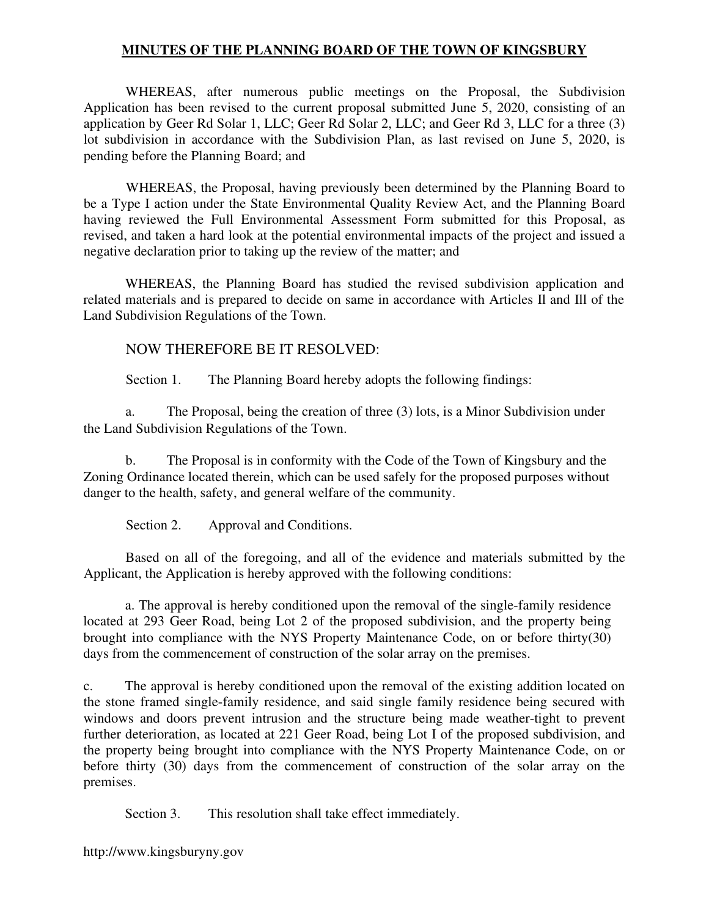WHEREAS, after numerous public meetings on the Proposal, the Subdivision Application has been revised to the current proposal submitted June 5, 2020, consisting of an application by Geer Rd Solar 1, LLC; Geer Rd Solar 2, LLC; and Geer Rd 3, LLC for a three (3) lot subdivision in accordance with the Subdivision Plan, as last revised on June 5, 2020, is pending before the Planning Board; and

WHEREAS, the Proposal, having previously been determined by the Planning Board to be a Type I action under the State Environmental Quality Review Act, and the Planning Board having reviewed the Full Environmental Assessment Form submitted for this Proposal, as revised, and taken a hard look at the potential environmental impacts of the project and issued a negative declaration prior to taking up the review of the matter; and

WHEREAS, the Planning Board has studied the revised subdivision application and related materials and is prepared to decide on same in accordance with Articles Il and Ill of the Land Subdivision Regulations of the Town.

## NOW THEREFORE BE IT RESOLVED:

Section 1. The Planning Board hereby adopts the following findings:

a. The Proposal, being the creation of three (3) lots, is a Minor Subdivision under the Land Subdivision Regulations of the Town.

b. The Proposal is in conformity with the Code of the Town of Kingsbury and the Zoning Ordinance located therein, which can be used safely for the proposed purposes without danger to the health, safety, and general welfare of the community.

Section 2. Approval and Conditions.

Based on all of the foregoing, and all of the evidence and materials submitted by the Applicant, the Application is hereby approved with the following conditions:

a. The approval is hereby conditioned upon the removal of the single-family residence located at 293 Geer Road, being Lot 2 of the proposed subdivision, and the property being brought into compliance with the NYS Property Maintenance Code, on or before thirty(30) days from the commencement of construction of the solar array on the premises.

c. The approval is hereby conditioned upon the removal of the existing addition located on the stone framed single-family residence, and said single family residence being secured with windows and doors prevent intrusion and the structure being made weather-tight to prevent further deterioration, as located at 221 Geer Road, being Lot I of the proposed subdivision, and the property being brought into compliance with the NYS Property Maintenance Code, on or before thirty (30) days from the commencement of construction of the solar array on the premises.

Section 3. This resolution shall take effect immediately.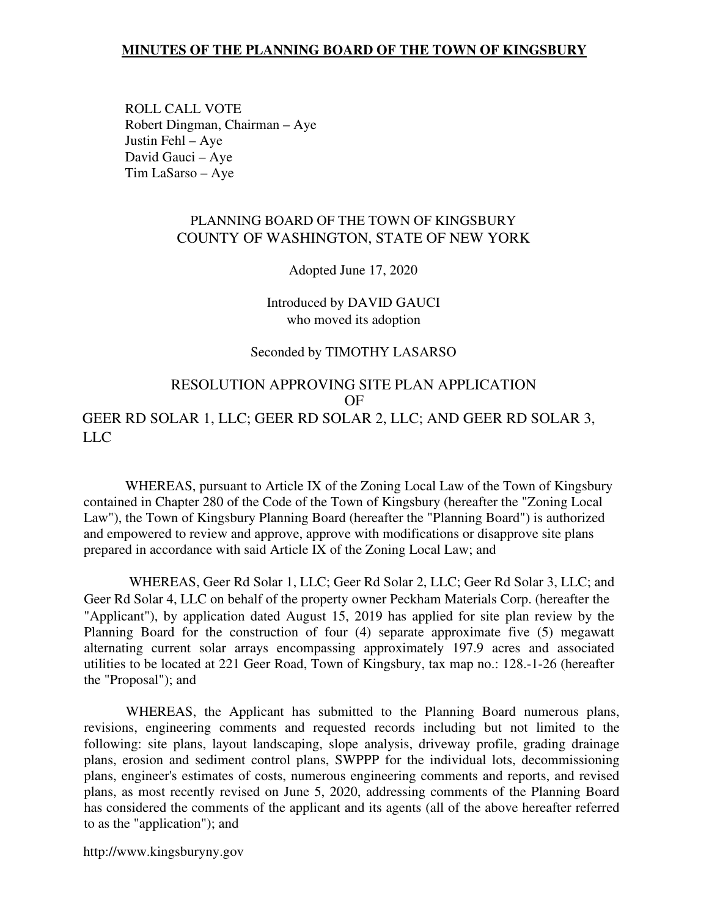ROLL CALL VOTE Robert Dingman, Chairman – Aye Justin Fehl – Aye David Gauci – Aye Tim LaSarso – Aye

### PLANNING BOARD OF THE TOWN OF KINGSBURY COUNTY OF WASHINGTON, STATE OF NEW YORK

Adopted June 17, 2020

Introduced by DAVID GAUCI who moved its adoption

#### Seconded by TIMOTHY LASARSO

## RESOLUTION APPROVING SITE PLAN APPLICATION OF GEER RD SOLAR 1, LLC; GEER RD SOLAR 2, LLC; AND GEER RD SOLAR 3, LLC

WHEREAS, pursuant to Article IX of the Zoning Local Law of the Town of Kingsbury contained in Chapter 280 of the Code of the Town of Kingsbury (hereafter the "Zoning Local Law"), the Town of Kingsbury Planning Board (hereafter the "Planning Board") is authorized and empowered to review and approve, approve with modifications or disapprove site plans prepared in accordance with said Article IX of the Zoning Local Law; and

WHEREAS, Geer Rd Solar 1, LLC; Geer Rd Solar 2, LLC; Geer Rd Solar 3, LLC; and Geer Rd Solar 4, LLC on behalf of the property owner Peckham Materials Corp. (hereafter the "Applicant"), by application dated August 15, 2019 has applied for site plan review by the Planning Board for the construction of four (4) separate approximate five (5) megawatt alternating current solar arrays encompassing approximately 197.9 acres and associated utilities to be located at 221 Geer Road, Town of Kingsbury, tax map no.: 128.-1-26 (hereafter the "Proposal"); and

WHEREAS, the Applicant has submitted to the Planning Board numerous plans, revisions, engineering comments and requested records including but not limited to the following: site plans, layout landscaping, slope analysis, driveway profile, grading drainage plans, erosion and sediment control plans, SWPPP for the individual lots, decommissioning plans, engineer's estimates of costs, numerous engineering comments and reports, and revised plans, as most recently revised on June 5, 2020, addressing comments of the Planning Board has considered the comments of the applicant and its agents (all of the above hereafter referred to as the "application"); and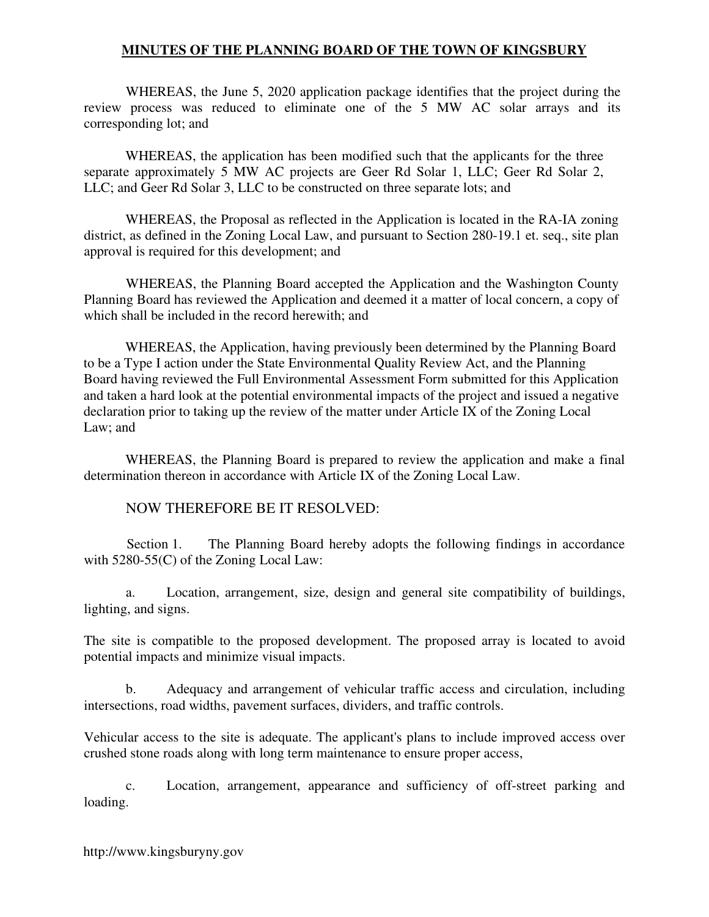WHEREAS, the June 5, 2020 application package identifies that the project during the review process was reduced to eliminate one of the 5 MW AC solar arrays and its corresponding lot; and

WHEREAS, the application has been modified such that the applicants for the three separate approximately 5 MW AC projects are Geer Rd Solar 1, LLC; Geer Rd Solar 2, LLC; and Geer Rd Solar 3, LLC to be constructed on three separate lots; and

WHEREAS, the Proposal as reflected in the Application is located in the RA-IA zoning district, as defined in the Zoning Local Law, and pursuant to Section 280-19.1 et. seq., site plan approval is required for this development; and

WHEREAS, the Planning Board accepted the Application and the Washington County Planning Board has reviewed the Application and deemed it a matter of local concern, a copy of which shall be included in the record herewith; and

WHEREAS, the Application, having previously been determined by the Planning Board to be a Type I action under the State Environmental Quality Review Act, and the Planning Board having reviewed the Full Environmental Assessment Form submitted for this Application and taken a hard look at the potential environmental impacts of the project and issued a negative declaration prior to taking up the review of the matter under Article IX of the Zoning Local Law; and

WHEREAS, the Planning Board is prepared to review the application and make a final determination thereon in accordance with Article IX of the Zoning Local Law.

## NOW THEREFORE BE IT RESOLVED:

Section 1. The Planning Board hereby adopts the following findings in accordance with 5280-55(C) of the Zoning Local Law:

a. Location, arrangement, size, design and general site compatibility of buildings, lighting, and signs.

The site is compatible to the proposed development. The proposed array is located to avoid potential impacts and minimize visual impacts.

b. Adequacy and arrangement of vehicular traffic access and circulation, including intersections, road widths, pavement surfaces, dividers, and traffic controls.

Vehicular access to the site is adequate. The applicant's plans to include improved access over crushed stone roads along with long term maintenance to ensure proper access,

c. Location, arrangement, appearance and sufficiency of off-street parking and loading.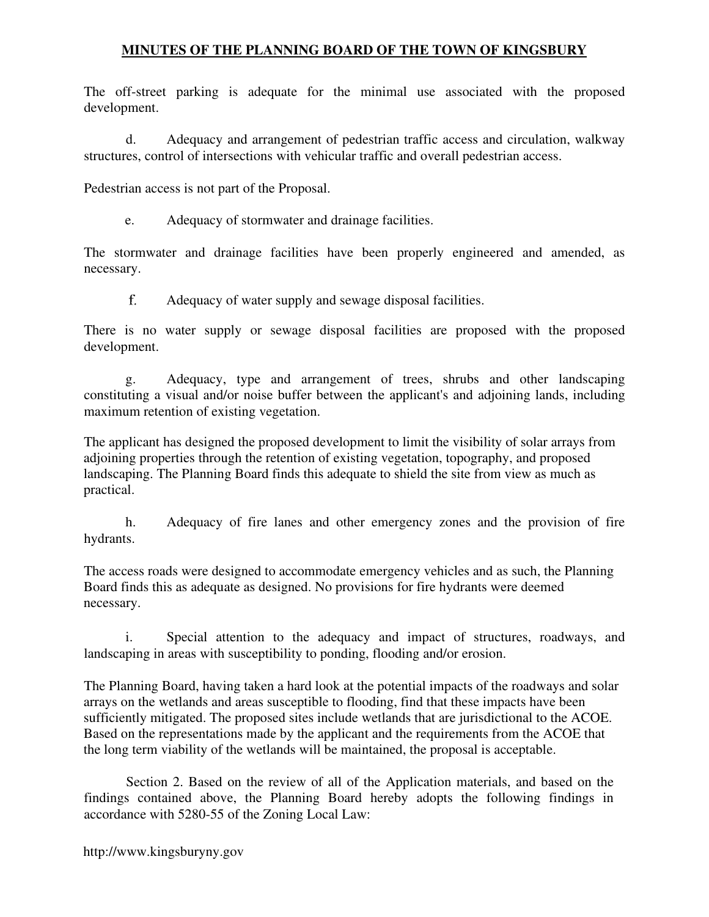The off-street parking is adequate for the minimal use associated with the proposed development.

d. Adequacy and arrangement of pedestrian traffic access and circulation, walkway structures, control of intersections with vehicular traffic and overall pedestrian access.

Pedestrian access is not part of the Proposal.

e. Adequacy of stormwater and drainage facilities.

The stormwater and drainage facilities have been properly engineered and amended, as necessary.

Adequacy of water supply and sewage disposal facilities.

There is no water supply or sewage disposal facilities are proposed with the proposed development.

g. Adequacy, type and arrangement of trees, shrubs and other landscaping constituting a visual and/or noise buffer between the applicant's and adjoining lands, including maximum retention of existing vegetation.

The applicant has designed the proposed development to limit the visibility of solar arrays from adjoining properties through the retention of existing vegetation, topography, and proposed landscaping. The Planning Board finds this adequate to shield the site from view as much as practical.

h. Adequacy of fire lanes and other emergency zones and the provision of fire hydrants.

The access roads were designed to accommodate emergency vehicles and as such, the Planning Board finds this as adequate as designed. No provisions for fire hydrants were deemed necessary.

i. Special attention to the adequacy and impact of structures, roadways, and landscaping in areas with susceptibility to ponding, flooding and/or erosion.

The Planning Board, having taken a hard look at the potential impacts of the roadways and solar arrays on the wetlands and areas susceptible to flooding, find that these impacts have been sufficiently mitigated. The proposed sites include wetlands that are jurisdictional to the ACOE. Based on the representations made by the applicant and the requirements from the ACOE that the long term viability of the wetlands will be maintained, the proposal is acceptable.

Section 2. Based on the review of all of the Application materials, and based on the findings contained above, the Planning Board hereby adopts the following findings in accordance with 5280-55 of the Zoning Local Law: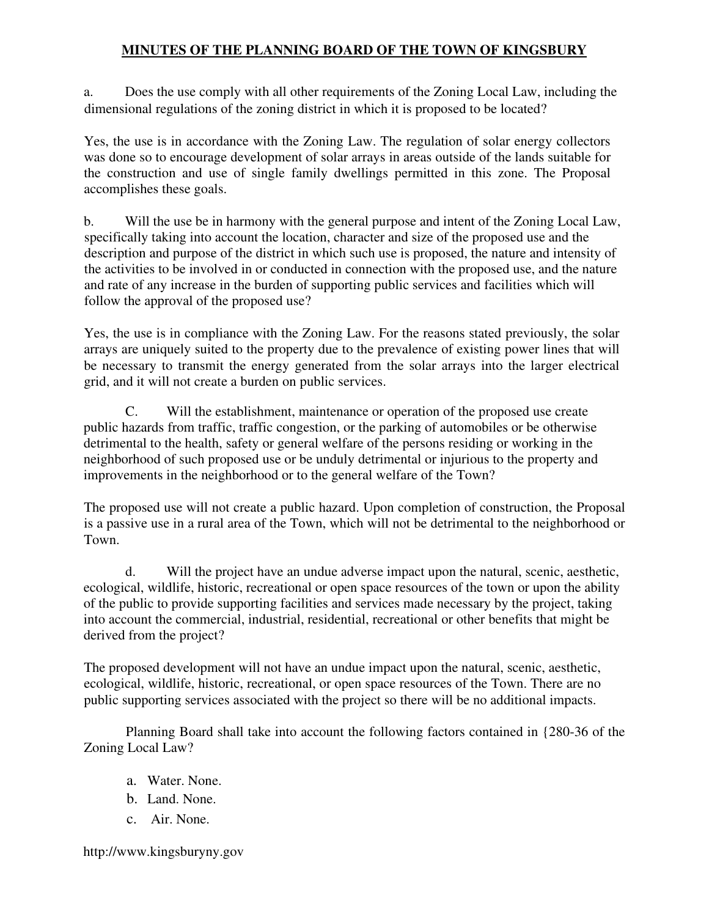a. Does the use comply with all other requirements of the Zoning Local Law, including the dimensional regulations of the zoning district in which it is proposed to be located?

Yes, the use is in accordance with the Zoning Law. The regulation of solar energy collectors was done so to encourage development of solar arrays in areas outside of the lands suitable for the construction and use of single family dwellings permitted in this zone. The Proposal accomplishes these goals.

b. Will the use be in harmony with the general purpose and intent of the Zoning Local Law, specifically taking into account the location, character and size of the proposed use and the description and purpose of the district in which such use is proposed, the nature and intensity of the activities to be involved in or conducted in connection with the proposed use, and the nature and rate of any increase in the burden of supporting public services and facilities which will follow the approval of the proposed use?

Yes, the use is in compliance with the Zoning Law. For the reasons stated previously, the solar arrays are uniquely suited to the property due to the prevalence of existing power lines that will be necessary to transmit the energy generated from the solar arrays into the larger electrical grid, and it will not create a burden on public services.

C. Will the establishment, maintenance or operation of the proposed use create public hazards from traffic, traffic congestion, or the parking of automobiles or be otherwise detrimental to the health, safety or general welfare of the persons residing or working in the neighborhood of such proposed use or be unduly detrimental or injurious to the property and improvements in the neighborhood or to the general welfare of the Town?

The proposed use will not create a public hazard. Upon completion of construction, the Proposal is a passive use in a rural area of the Town, which will not be detrimental to the neighborhood or Town.

d. Will the project have an undue adverse impact upon the natural, scenic, aesthetic, ecological, wildlife, historic, recreational or open space resources of the town or upon the ability of the public to provide supporting facilities and services made necessary by the project, taking into account the commercial, industrial, residential, recreational or other benefits that might be derived from the project?

The proposed development will not have an undue impact upon the natural, scenic, aesthetic, ecological, wildlife, historic, recreational, or open space resources of the Town. There are no public supporting services associated with the project so there will be no additional impacts.

Planning Board shall take into account the following factors contained in {280-36 of the Zoning Local Law?

- a. Water. None.
- b. Land. None.
- c. Air. None.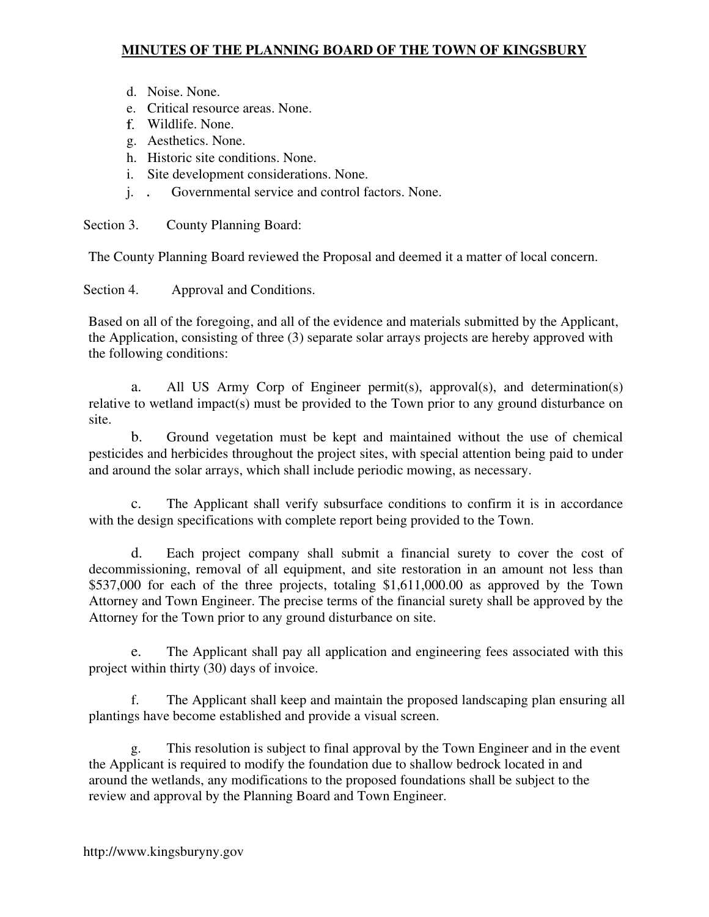- d. Noise. None.
- e. Critical resource areas. None.
- Wildlife. None.
- g. Aesthetics. None.
- h. Historic site conditions. None.
- i. Site development considerations. None.
- j. Governmental service and control factors. None.

Section 3. County Planning Board:

The County Planning Board reviewed the Proposal and deemed it a matter of local concern.

Section 4. Approval and Conditions.

Based on all of the foregoing, and all of the evidence and materials submitted by the Applicant, the Application, consisting of three (3) separate solar arrays projects are hereby approved with the following conditions:

a. All US Army Corp of Engineer permit(s), approval(s), and determination(s) relative to wetland impact(s) must be provided to the Town prior to any ground disturbance on site.

b. Ground vegetation must be kept and maintained without the use of chemical pesticides and herbicides throughout the project sites, with special attention being paid to under and around the solar arrays, which shall include periodic mowing, as necessary.

c. The Applicant shall verify subsurface conditions to confirm it is in accordance with the design specifications with complete report being provided to the Town.

d. Each project company shall submit a financial surety to cover the cost of decommissioning, removal of all equipment, and site restoration in an amount not less than \$537,000 for each of the three projects, totaling \$1,611,000.00 as approved by the Town Attorney and Town Engineer. The precise terms of the financial surety shall be approved by the Attorney for the Town prior to any ground disturbance on site.

e. The Applicant shall pay all application and engineering fees associated with this project within thirty (30) days of invoice.

The Applicant shall keep and maintain the proposed landscaping plan ensuring all plantings have become established and provide a visual screen.

g. This resolution is subject to final approval by the Town Engineer and in the event the Applicant is required to modify the foundation due to shallow bedrock located in and around the wetlands, any modifications to the proposed foundations shall be subject to the review and approval by the Planning Board and Town Engineer.